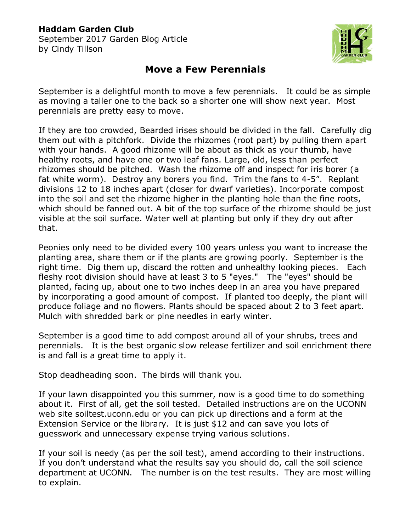## **Haddam Garden Club**

September 2017 Garden Blog Article by Cindy Tillson



## **Move a Few Perennials**

September is a delightful month to move a few perennials. It could be as simple as moving a taller one to the back so a shorter one will show next year. Most perennials are pretty easy to move.

If they are too crowded, Bearded irises should be divided in the fall. Carefully dig them out with a pitchfork. Divide the rhizomes (root part) by pulling them apart with your hands. A good rhizome will be about as thick as your thumb, have healthy roots, and have one or two leaf fans. Large, old, less than perfect rhizomes should be pitched. Wash the rhizome off and inspect for iris borer (a fat white worm). Destroy any borers you find. Trim the fans to 4-5". Replant divisions 12 to 18 inches apart (closer for dwarf varieties). Incorporate compost into the soil and set the rhizome higher in the planting hole than the fine roots, which should be fanned out. A bit of the top surface of the rhizome should be just visible at the soil surface. Water well at planting but only if they dry out after that.

Peonies only need to be divided every 100 years unless you want to increase the planting area, share them or if the plants are growing poorly. September is the right time. Dig them up, discard the rotten and unhealthy looking pieces. Each fleshy root division should have at least 3 to 5 "eyes." The "eyes" should be planted, facing up, about one to two inches deep in an area you have prepared by incorporating a good amount of compost. If planted too deeply, the plant will produce foliage and no flowers. Plants should be spaced about 2 to 3 feet apart. Mulch with shredded bark or pine needles in early winter.

September is a good time to add compost around all of your shrubs, trees and perennials. It is the best organic slow release fertilizer and soil enrichment there is and fall is a great time to apply it.

Stop deadheading soon. The birds will thank you.

If your lawn disappointed you this summer, now is a good time to do something about it. First of all, get the soil tested. Detailed instructions are on the UCONN web site soiltest.uconn.edu or you can pick up directions and a form at the Extension Service or the library. It is just \$12 and can save you lots of guesswork and unnecessary expense trying various solutions.

If your soil is needy (as per the soil test), amend according to their instructions. If you don't understand what the results say you should do, call the soil science department at UCONN. The number is on the test results. They are most willing to explain.